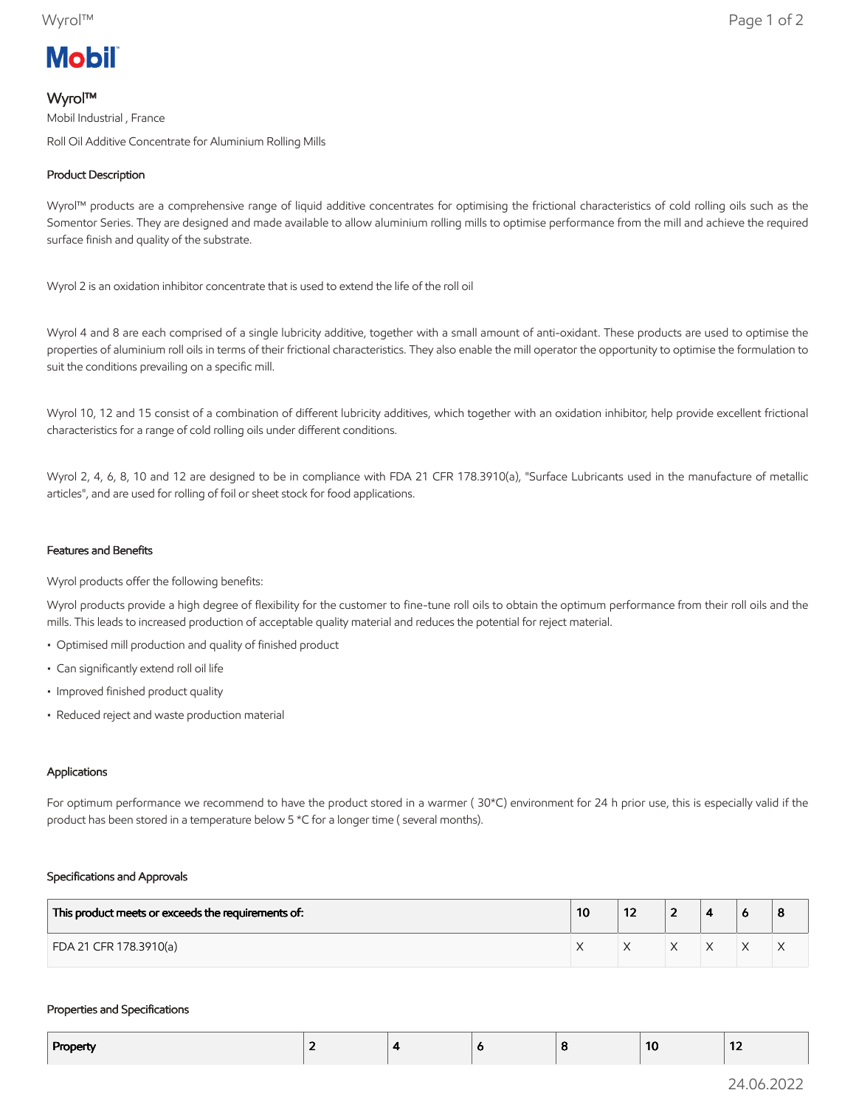# **Mobil**

# Wyrol™

Mobil Industrial , France Roll Oil Additive Concentrate for Aluminium Rolling Mills

## Product Description

Wyrol™ products are a comprehensive range of liquid additive concentrates for optimising the frictional characteristics of cold rolling oils such as the Somentor Series. They are designed and made available to allow aluminium rolling mills to optimise performance from the mill and achieve the required surface finish and quality of the substrate.

Wyrol 2 is an oxidation inhibitor concentrate that is used to extend the life of the roll oil

Wyrol 4 and 8 are each comprised of a single lubricity additive, together with a small amount of anti-oxidant. These products are used to optimise the properties of aluminium roll oils in terms of their frictional characteristics. They also enable the mill operator the opportunity to optimise the formulation to suit the conditions prevailing on a specific mill.

Wyrol 10, 12 and 15 consist of a combination of different lubricity additives, which together with an oxidation inhibitor, help provide excellent frictional characteristics for a range of cold rolling oils under different conditions.

Wyrol 2, 4, 6, 8, 10 and 12 are designed to be in compliance with FDA 21 CFR 178.3910(a), "Surface Lubricants used in the manufacture of metallic articles", and are used for rolling of foil or sheet stock for food applications.

## Features and Benefits

Wyrol products offer the following benefits:

Wyrol products provide a high degree of flexibility for the customer to fine-tune roll oils to obtain the optimum performance from their roll oils and the mills. This leads to increased production of acceptable quality material and reduces the potential for reject material.

- Optimised mill production and quality of finished product
- Can significantly extend roll oil life
- Improved finished product quality
- Reduced reject and waste production material

### Applications

For optimum performance we recommend to have the product stored in a warmer ( 30\*C) environment for 24 h prior use, this is especially valid if the product has been stored in a temperature below 5 \*C for a longer time ( several months).

### Specifications and Approvals

| This product meets or exceeds the requirements of: | 10 | 14 | - |  | 8 |
|----------------------------------------------------|----|----|---|--|---|
| FDA 21 CFR 178.3910(a)                             |    |    |   |  | ∧ |

#### Properties and Specifications

| Property<br>. . | -- | $\overline{\phantom{a}}$ |  | -10 | $\sim$<br>$\mathbf{z}$ |
|-----------------|----|--------------------------|--|-----|------------------------|
|                 |    |                          |  |     |                        |